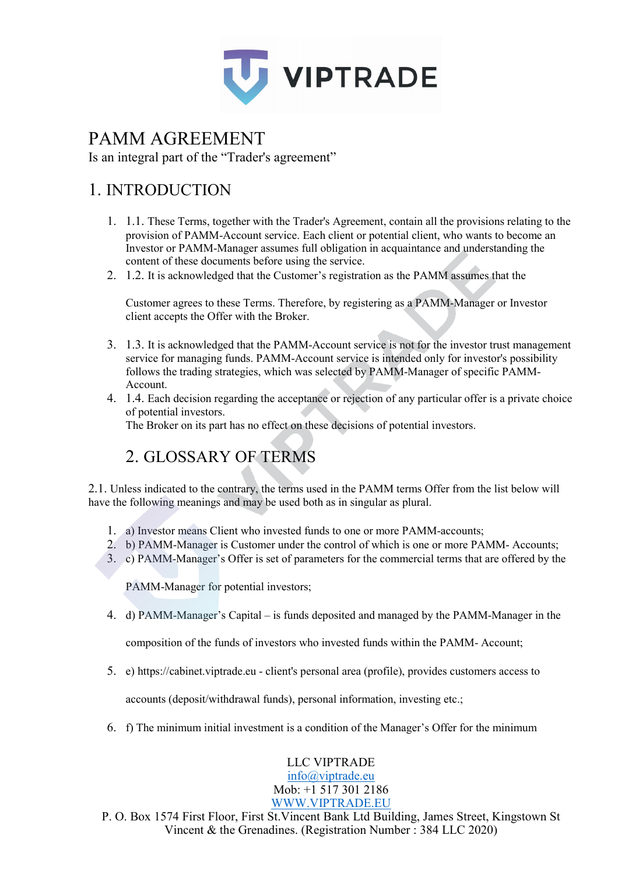

# PAMM AGREEMENT

Is an integral part of the "Trader's agreement"

## 1. INTRODUCTION

- 1. 1.1. These Terms, together with the Trader's Agreement, contain all the provisions relating to the provision of PAMM-Account service. Each client or potential client, who wants to become an Investor or PAMM-Manager assumes full obligation in acquaintance and understanding the content of these documents before using the service.
- 2. 1.2. It is acknowledged that the Customer's registration as the PAMM assumes that the

Customer agrees to these Terms. Therefore, by registering as a PAMM-Manager or Investor client accepts the Offer with the Broker.

- 3. 1.3. It is acknowledged that the PAMM-Account service is not for the investor trust management service for managing funds. PAMM-Account service is intended only for investor's possibility follows the trading strategies, which was selected by PAMM-Manager of specific PAMM-Account.
- 4. 1.4. Each decision regarding the acceptance or rejection of any particular offer is a private choice of potential investors.

The Broker on its part has no effect on these decisions of potential investors.

## 2. GLOSSARY OF TERMS

2.1. Unless indicated to the contrary, the terms used in the PAMM terms Offer from the list below will have the following meanings and may be used both as in singular as plural.

- 1. a) Investor means Client who invested funds to one or more PAMM-accounts;
- 2. b) PAMM-Manager is Customer under the control of which is one or more PAMM- Accounts;
- 3. c) PAMM-Manager's Offer is set of parameters for the commercial terms that are offered by the

PAMM-Manager for potential investors;

4. d) PAMM-Manager's Capital – is funds deposited and managed by the PAMM-Manager in the

composition of the funds of investors who invested funds within the PAMM- Account;

5. e) https://cabinet.viptrade.eu - client's personal area (profile), provides customers access to

accounts (deposit/withdrawal funds), personal information, investing etc.;

6. f) The minimum initial investment is a condition of the Manager's Offer for the minimum

LLC VIPTRADE [info@viptrade.eu](mailto:info@viptrade.eu) Mob: +1 517 301 2186 [WWW.VIPTRADE.EU](http://www.viptrade.eu/)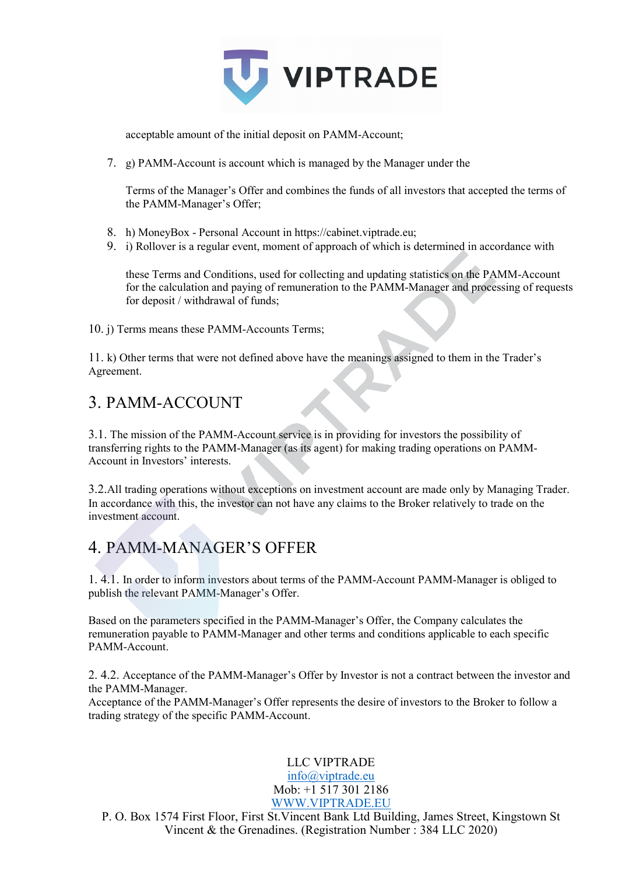

acceptable amount of the initial deposit on PAMM-Account;

7. g) PAMM-Account is account which is managed by the Manager under the

Terms of the Manager's Offer and combines the funds of all investors that accepted the terms of the PAMM-Manager's Offer;

- 8. h) MoneyBox Personal Account in https://cabinet.viptrade.eu;
- 9. i) Rollover is a regular event, moment of approach of which is determined in accordance with

these Terms and Conditions, used for collecting and updating statistics on the PAMM-Account for the calculation and paying of remuneration to the PAMM-Manager and processing of requests for deposit / withdrawal of funds;

10. j) Terms means these PAMM-Accounts Terms;

11. k) Other terms that were not defined above have the meanings assigned to them in the Trader's Agreement.

#### 3. PAMM-ACCOUNT

3.1. The mission of the PAMM-Account service is in providing for investors the possibility of transferring rights to the PAMM-Manager (as its agent) for making trading operations on PAMM-Account in Investors' interests.

3.2.All trading operations without exceptions on investment account are made only by Managing Trader. In accordance with this, the investor can not have any claims to the Broker relatively to trade on the investment account.

## 4. PAMM-MANAGER'S OFFER

1. 4.1. In order to inform investors about terms of the PAMM-Account PAMM-Manager is obliged to publish the relevant PAMM-Manager's Offer.

Based on the parameters specified in the PAMM-Manager's Offer, the Company calculates the remuneration payable to PAMM-Manager and other terms and conditions applicable to each specific PAMM-Account.

2. 4.2. Acceptance of the PAMM-Manager's Offer by Investor is not a contract between the investor and the PAMM-Manager.

Acceptance of the PAMM-Manager's Offer represents the desire of investors to the Broker to follow a trading strategy of the specific PAMM-Account.

# LLC VIPTRADE

[info@viptrade.eu](mailto:info@viptrade.eu) Mob: +1 517 301 2186 [WWW.VIPTRADE.EU](http://www.viptrade.eu/)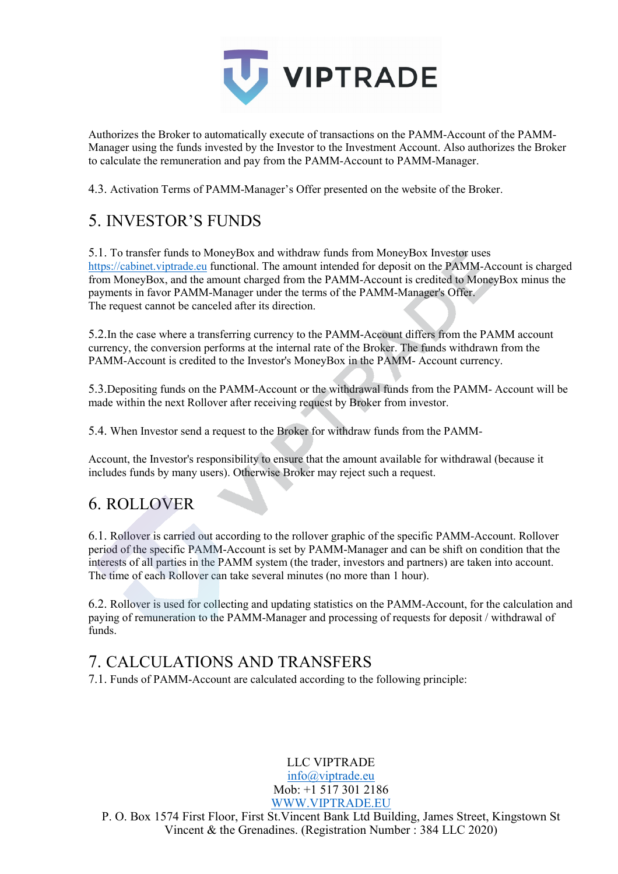

Authorizes the Broker to automatically execute of transactions on the PAMM-Account of the PAMM-Manager using the funds invested by the Investor to the Investment Account. Also authorizes the Broker to calculate the remuneration and pay from the PAMM-Account to PAMM-Manager.

4.3. Activation Terms of PAMM-Manager's Offer presented on the website of the Broker.

## 5. INVESTOR'S FUNDS

5.1. To transfer funds to MoneyBox and withdraw funds from MoneyBox Investor uses [https://cabinet.viptrade.eu](https://cabinet.viptrade.eu/) functional. The amount intended for deposit on the PAMM-Account is charged from MoneyBox, and the amount charged from the PAMM-Account is credited to MoneyBox minus the payments in favor PAMM-Manager under the terms of the PAMM-Manager's Offer. The request cannot be canceled after its direction.

5.2.In the case where a transferring currency to the PAMM-Account differs from the PAMM account currency, the conversion performs at the internal rate of the Broker. The funds withdrawn from the PAMM-Account is credited to the Investor's MoneyBox in the PAMM- Account currency.

5.3.Depositing funds on the PAMM-Account or the withdrawal funds from the PAMM- Account will be made within the next Rollover after receiving request by Broker from investor.

5.4. When Investor send a request to the Broker for withdraw funds from the PAMM-

Account, the Investor's responsibility to ensure that the amount available for withdrawal (because it includes funds by many users). Otherwise Broker may reject such a request.

## 6. ROLLOVER

6.1. Rollover is carried out according to the rollover graphic of the specific PAMM-Account. Rollover period of the specific PAMM-Account is set by PAMM-Manager and can be shift on condition that the interests of all parties in the PAMM system (the trader, investors and partners) are taken into account. The time of each Rollover can take several minutes (no more than 1 hour).

6.2. Rollover is used for collecting and updating statistics on the PAMM-Account, for the calculation and paying of remuneration to the PAMM-Manager and processing of requests for deposit / withdrawal of funds.

## 7. CALCULATIONS AND TRANSFERS

7.1. Funds of PAMM-Account are calculated according to the following principle:

LLC VIPTRADE [info@viptrade.eu](mailto:info@viptrade.eu) Mob: +1 517 301 2186 [WWW.VIPTRADE.EU](http://www.viptrade.eu/)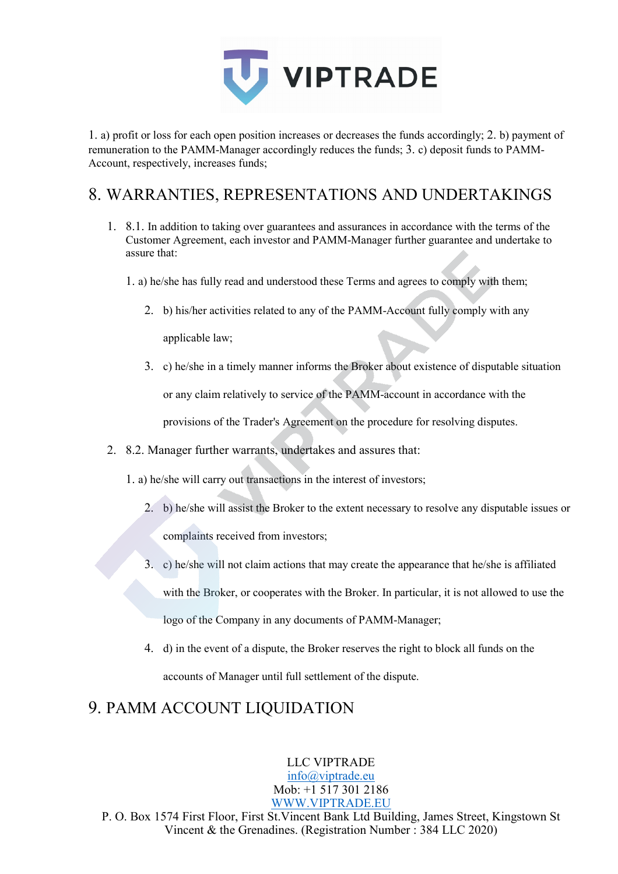

1. a) profit or loss for each open position increases or decreases the funds accordingly; 2. b) payment of remuneration to the PAMM-Manager accordingly reduces the funds; 3. c) deposit funds to PAMM-Account, respectively, increases funds;

## 8. WARRANTIES, REPRESENTATIONS AND UNDERTAKINGS

- 1. 8.1. In addition to taking over guarantees and assurances in accordance with the terms of the Customer Agreement, each investor and PAMM-Manager further guarantee and undertake to assure that:
	- 1. a) he/she has fully read and understood these Terms and agrees to comply with them;
		- 2. b) his/her activities related to any of the PAMM-Account fully comply with any applicable law;
		- 3. c) he/she in a timely manner informs the Broker about existence of disputable situation or any claim relatively to service of the PAMM-account in accordance with the provisions of the Trader's Agreement on the procedure for resolving disputes.
- 2. 8.2. Manager further warrants, undertakes and assures that:
	- 1. a) he/she will carry out transactions in the interest of investors;
		- 2. b) he/she will assist the Broker to the extent necessary to resolve any disputable issues or complaints received from investors;
		- 3. c) he/she will not claim actions that may create the appearance that he/she is affiliated with the Broker, or cooperates with the Broker. In particular, it is not allowed to use the logo of the Company in any documents of PAMM-Manager;
		- 4. d) in the event of a dispute, the Broker reserves the right to block all funds on the accounts of Manager until full settlement of the dispute.

## 9. PAMM ACCOUNT LIQUIDATION

LLC VIPTRADE [info@viptrade.eu](mailto:info@viptrade.eu) Mob: +1 517 301 2186 [WWW.VIPTRADE.EU](http://www.viptrade.eu/)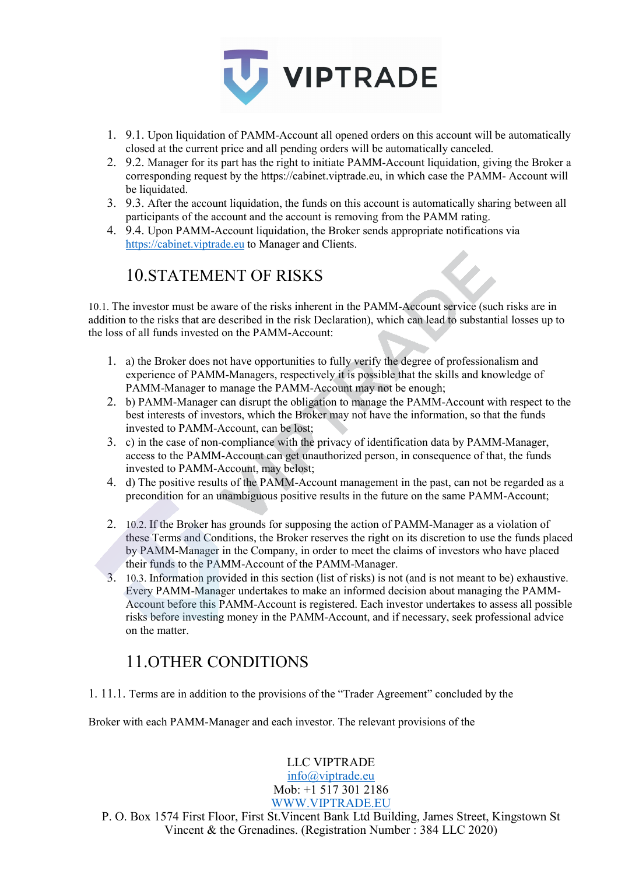

- 1. 9.1. Upon liquidation of PAMM-Account all opened orders on this account will be automatically closed at the current price and all pending orders will be automatically canceled.
- 2. 9.2. Manager for its part has the right to initiate PAMM-Account liquidation, giving the Broker a corresponding request by the https://cabinet.viptrade.eu, in which case the PAMM- Account will be liquidated.
- 3. 9.3. After the account liquidation, the funds on this account is automatically sharing between all participants of the account and the account is removing from the PAMM rating.
- 4. 9.4. Upon PAMM-Account liquidation, the Broker sends appropriate notifications via [https://cabinet.viptrade.eu](https://cabinet.viptrade.eu/) to Manager and Clients.

## 10.STATEMENT OF RISKS

10.1. The investor must be aware of the risks inherent in the PAMM-Account service (such risks are in addition to the risks that are described in the risk Declaration), which can lead to substantial losses up to the loss of all funds invested on the PAMM-Account:

- 1. a) the Broker does not have opportunities to fully verify the degree of professionalism and experience of PAMM-Managers, respectively it is possible that the skills and knowledge of PAMM-Manager to manage the PAMM-Account may not be enough;
- 2. b) PAMM-Manager can disrupt the obligation to manage the PAMM-Account with respect to the best interests of investors, which the Broker may not have the information, so that the funds invested to PAMM-Account, can be lost;
- 3. c) in the case of non-compliance with the privacy of identification data by PAMM-Manager, access to the PAMM-Account can get unauthorized person, in consequence of that, the funds invested to PAMM-Account, may belost;
- 4. d) The positive results of the PAMM-Account management in the past, can not be regarded as a precondition for an unambiguous positive results in the future on the same PAMM-Account;
- 2. 10.2. If the Broker has grounds for supposing the action of PAMM-Manager as a violation of these Terms and Conditions, the Broker reserves the right on its discretion to use the funds placed by PAMM-Manager in the Company, in order to meet the claims of investors who have placed their funds to the PAMM-Account of the PAMM-Manager.
- 3. 10.3. Information provided in this section (list of risks) is not (and is not meant to be) exhaustive. Every PAMM-Manager undertakes to make an informed decision about managing the PAMM-Account before this PAMM-Account is registered. Each investor undertakes to assess all possible risks before investing money in the PAMM-Account, and if necessary, seek professional advice on the matter.

## 11.OTHER CONDITIONS

1. 11.1. Terms are in addition to the provisions of the "Trader Agreement" concluded by the

Broker with each PAMM-Manager and each investor. The relevant provisions of the

#### LLC VIPTRADE

[info@viptrade.eu](mailto:info@viptrade.eu) Mob: +1 517 301 2186 [WWW.VIPTRADE.EU](http://www.viptrade.eu/)